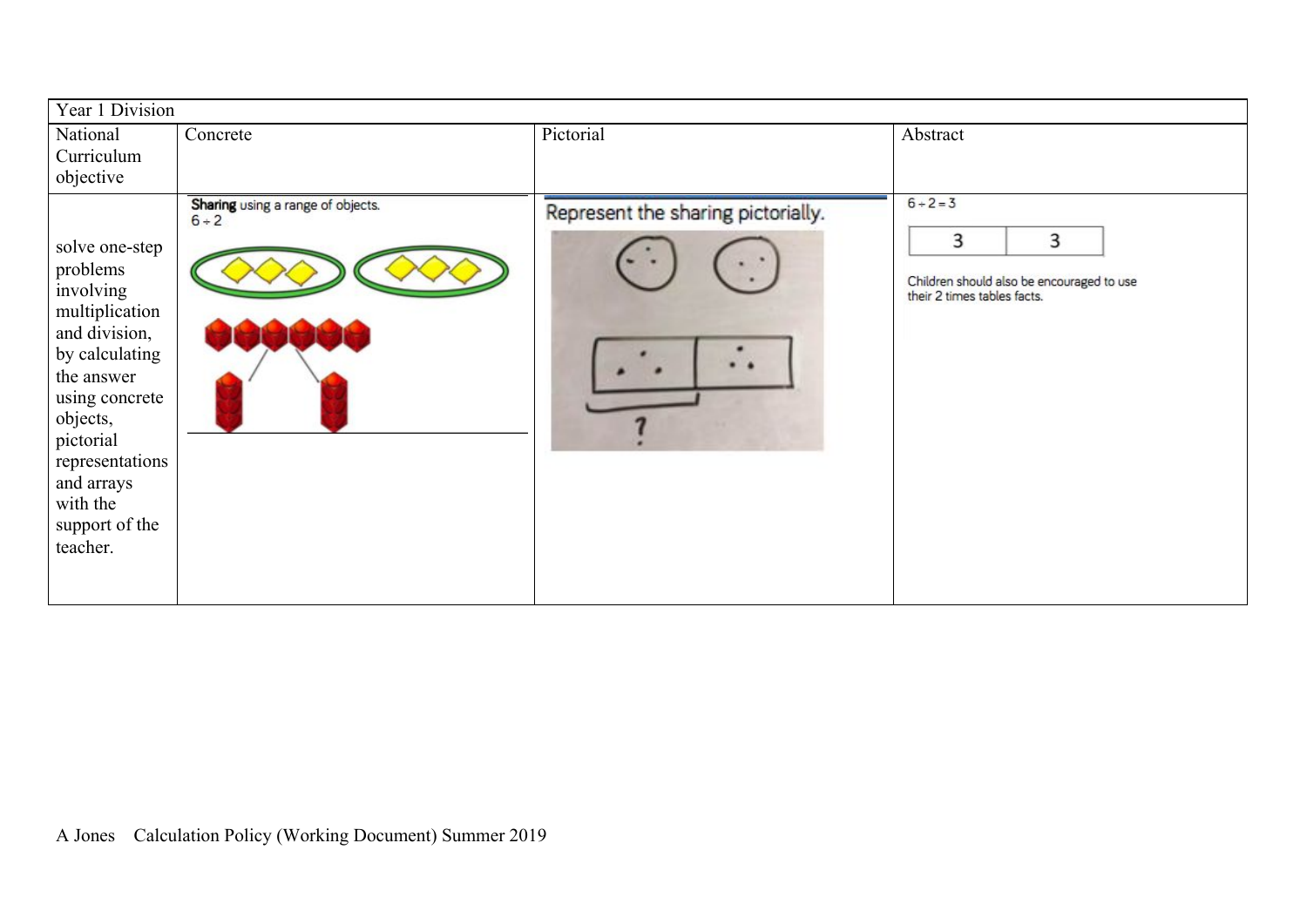| Pictorial<br>National<br>Concrete<br>Abstract<br>Curriculum<br>objective<br>$6 + 2 = 3$<br>Sharing using a range of objects.<br>Represent the sharing pictorially.                                                                                                                                                                |  |
|-----------------------------------------------------------------------------------------------------------------------------------------------------------------------------------------------------------------------------------------------------------------------------------------------------------------------------------|--|
|                                                                                                                                                                                                                                                                                                                                   |  |
|                                                                                                                                                                                                                                                                                                                                   |  |
|                                                                                                                                                                                                                                                                                                                                   |  |
| $6 + 2$<br>3<br>3<br>solve one-step<br>problems<br>Children should also be encouraged to use<br>involving<br>their 2 times tables facts.<br>multiplication<br>and division,<br>by calculating<br>the answer<br>using concrete<br>objects,<br>pictorial<br>representations<br>and arrays<br>with the<br>support of the<br>teacher. |  |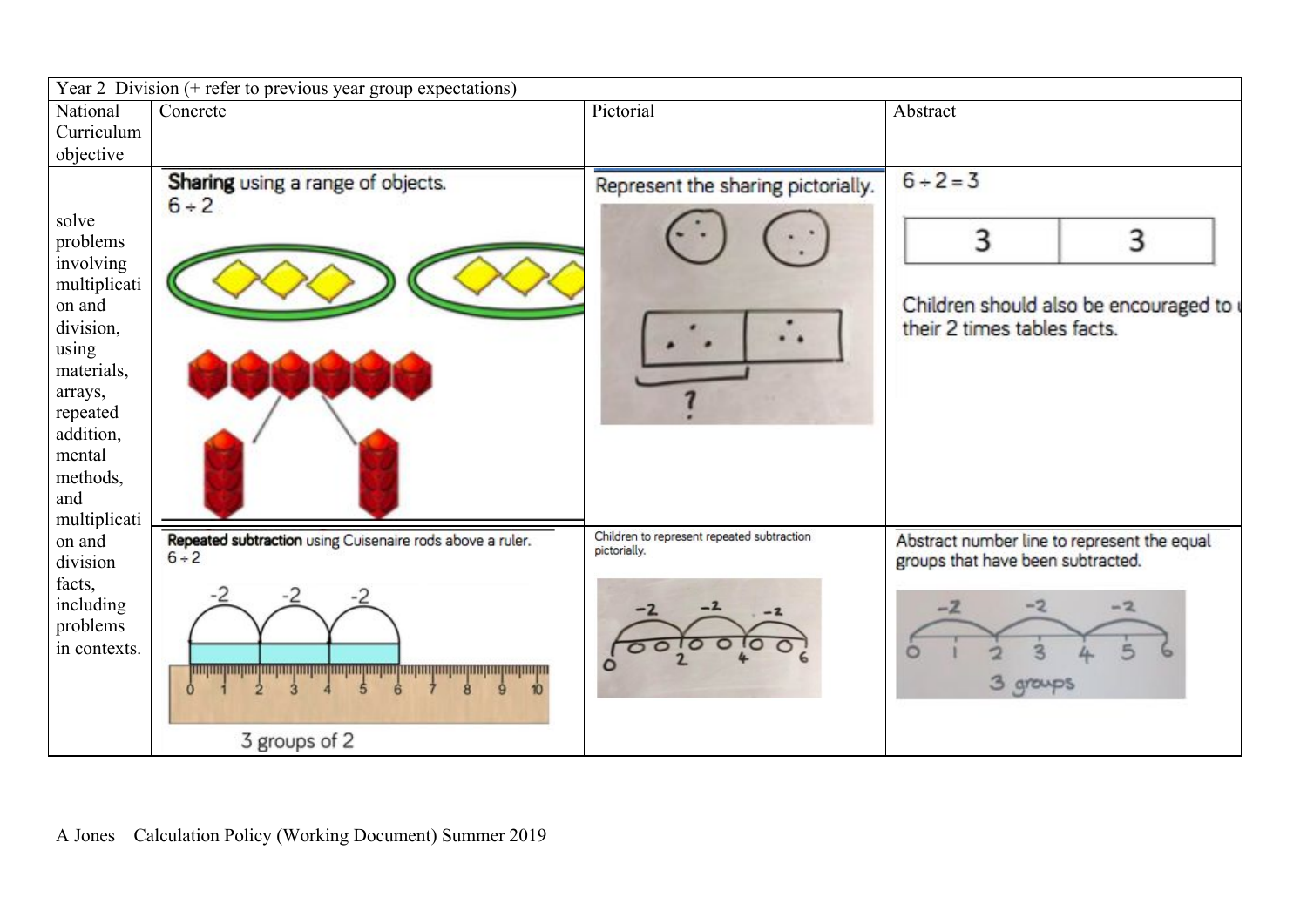| Concrete                                                                            | Pictorial                          | Abstract                                                                                      |
|-------------------------------------------------------------------------------------|------------------------------------|-----------------------------------------------------------------------------------------------|
|                                                                                     |                                    |                                                                                               |
|                                                                                     |                                    |                                                                                               |
| Sharing using a range of objects.<br>$6 + 2$                                        | Represent the sharing pictorially. | $6 + 2 = 3$<br>3<br>3<br>Children should also be encouraged to<br>their 2 times tables facts. |
| Repeated subtraction using Cuisenaire rods above a ruler.<br>$6 + 2$                | pictorially.                       | Abstract number line to represent the equal<br>groups that have been subtracted.              |
| <u>ing ang mga ng mga ng mga ng mga ng mga ng mga ng mga ng mga ng mga ng mga n</u> |                                    | $-2$<br>$-2$<br>$-2$<br>3 groups                                                              |
|                                                                                     | 3 groups of 2                      | Children to represent repeated subtraction                                                    |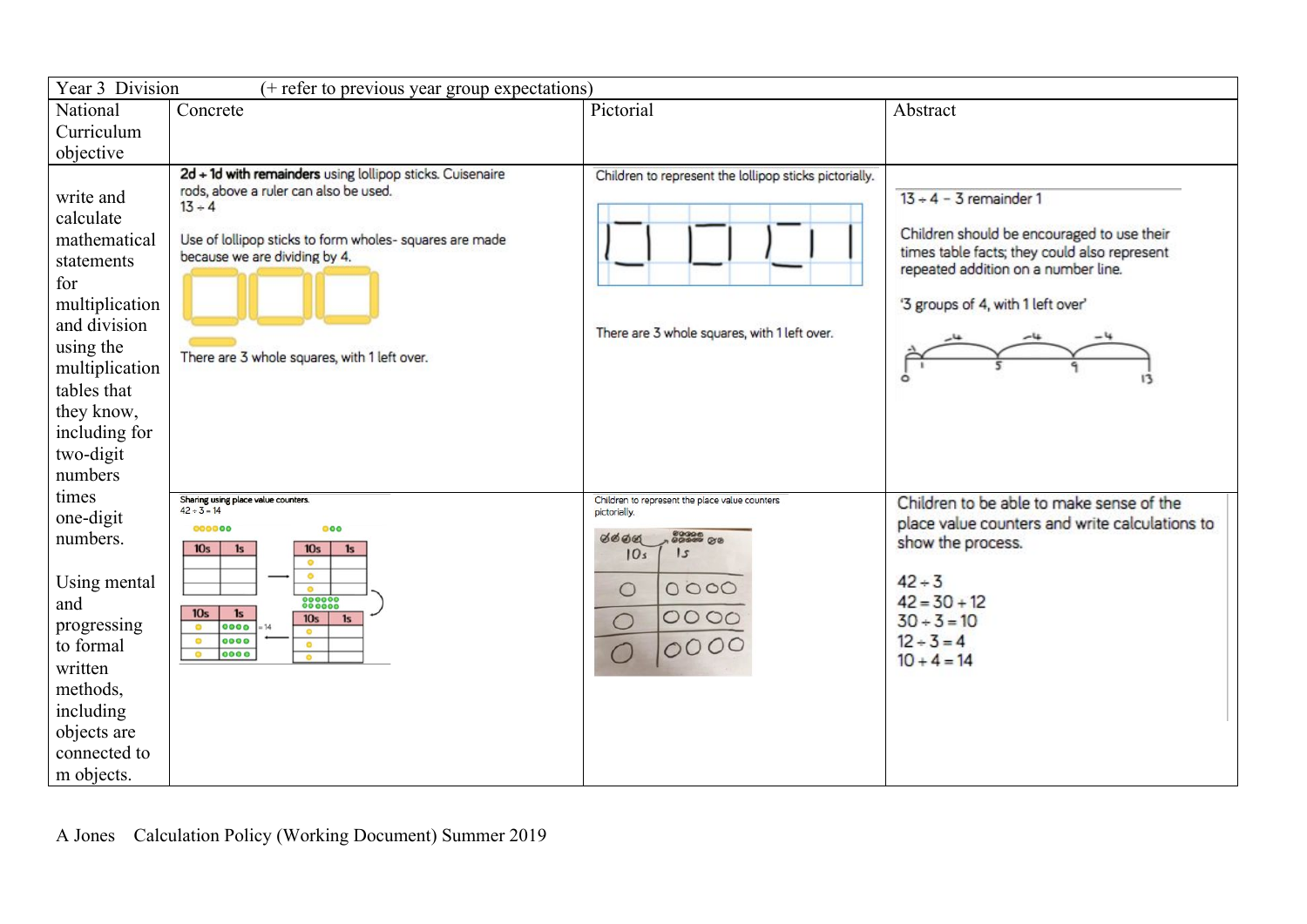| Year 3 Division<br>(+ refer to previous year group expectations)                                                                                                                                   |                                                                                                                                                                                                                                                            |                                                                                                        |                                                                                                                                                                                                    |  |  |
|----------------------------------------------------------------------------------------------------------------------------------------------------------------------------------------------------|------------------------------------------------------------------------------------------------------------------------------------------------------------------------------------------------------------------------------------------------------------|--------------------------------------------------------------------------------------------------------|----------------------------------------------------------------------------------------------------------------------------------------------------------------------------------------------------|--|--|
| National<br>Curriculum                                                                                                                                                                             | Concrete                                                                                                                                                                                                                                                   | Pictorial                                                                                              | Abstract                                                                                                                                                                                           |  |  |
| objective                                                                                                                                                                                          |                                                                                                                                                                                                                                                            |                                                                                                        |                                                                                                                                                                                                    |  |  |
| write and<br>calculate<br>mathematical<br>statements<br>for<br>multiplication<br>and division<br>using the<br>multiplication<br>tables that<br>they know,<br>including for<br>two-digit<br>numbers | 2d + 1d with remainders using lollipop sticks. Cuisenaire<br>rods, above a ruler can also be used.<br>$13 + 4$<br>Use of lollipop sticks to form wholes- squares are made<br>because we are dividing by 4.<br>There are 3 whole squares, with 1 left over. | Children to represent the lollipop sticks pictorially.<br>There are 3 whole squares, with 1 left over. | $13 + 4 - 3$ remainder 1<br>Children should be encouraged to use their<br>times table facts; they could also represent<br>repeated addition on a number line.<br>'3 groups of 4, with 1 left over' |  |  |
| times<br>one-digit                                                                                                                                                                                 | Sharing using place value counters.<br>$42 \div 3 = 14$<br>000000<br>000                                                                                                                                                                                   | Children to represent the place value counters<br>pictorially.                                         | Children to be able to make sense of the<br>place value counters and write calculations to                                                                                                         |  |  |
| numbers.                                                                                                                                                                                           | 10 <sub>s</sub><br>10 <sub>s</sub><br>1s<br>1s<br>$\bullet$                                                                                                                                                                                                | 00006<br>00006 OO<br><b>ØØØØ</b><br>5<br>10s                                                           | show the process.                                                                                                                                                                                  |  |  |
| Using mental<br>and                                                                                                                                                                                | $\bullet$<br>$\bullet$<br>888888                                                                                                                                                                                                                           | 0000<br>$\circ$                                                                                        | $42 + 3$<br>$42 = 30 + 12$                                                                                                                                                                         |  |  |
| progressing                                                                                                                                                                                        | 10 <sub>s</sub><br>1s<br>10 <sub>s</sub><br>1s<br>0000<br>$\bullet$                                                                                                                                                                                        | 0000<br>$\bigcirc$                                                                                     | $30 + 3 = 10$                                                                                                                                                                                      |  |  |
| to formal                                                                                                                                                                                          | 0000<br>$\bullet$<br>$\bullet$<br>0000<br>$\circ$<br>$\bullet$                                                                                                                                                                                             | 0000<br>$\bigcap$                                                                                      | $12 + 3 = 4$<br>$10 + 4 = 14$                                                                                                                                                                      |  |  |
| written                                                                                                                                                                                            |                                                                                                                                                                                                                                                            |                                                                                                        |                                                                                                                                                                                                    |  |  |
| methods,                                                                                                                                                                                           |                                                                                                                                                                                                                                                            |                                                                                                        |                                                                                                                                                                                                    |  |  |
| including                                                                                                                                                                                          |                                                                                                                                                                                                                                                            |                                                                                                        |                                                                                                                                                                                                    |  |  |
| objects are                                                                                                                                                                                        |                                                                                                                                                                                                                                                            |                                                                                                        |                                                                                                                                                                                                    |  |  |
|                                                                                                                                                                                                    |                                                                                                                                                                                                                                                            |                                                                                                        |                                                                                                                                                                                                    |  |  |
| connected to<br>m objects.                                                                                                                                                                         |                                                                                                                                                                                                                                                            |                                                                                                        |                                                                                                                                                                                                    |  |  |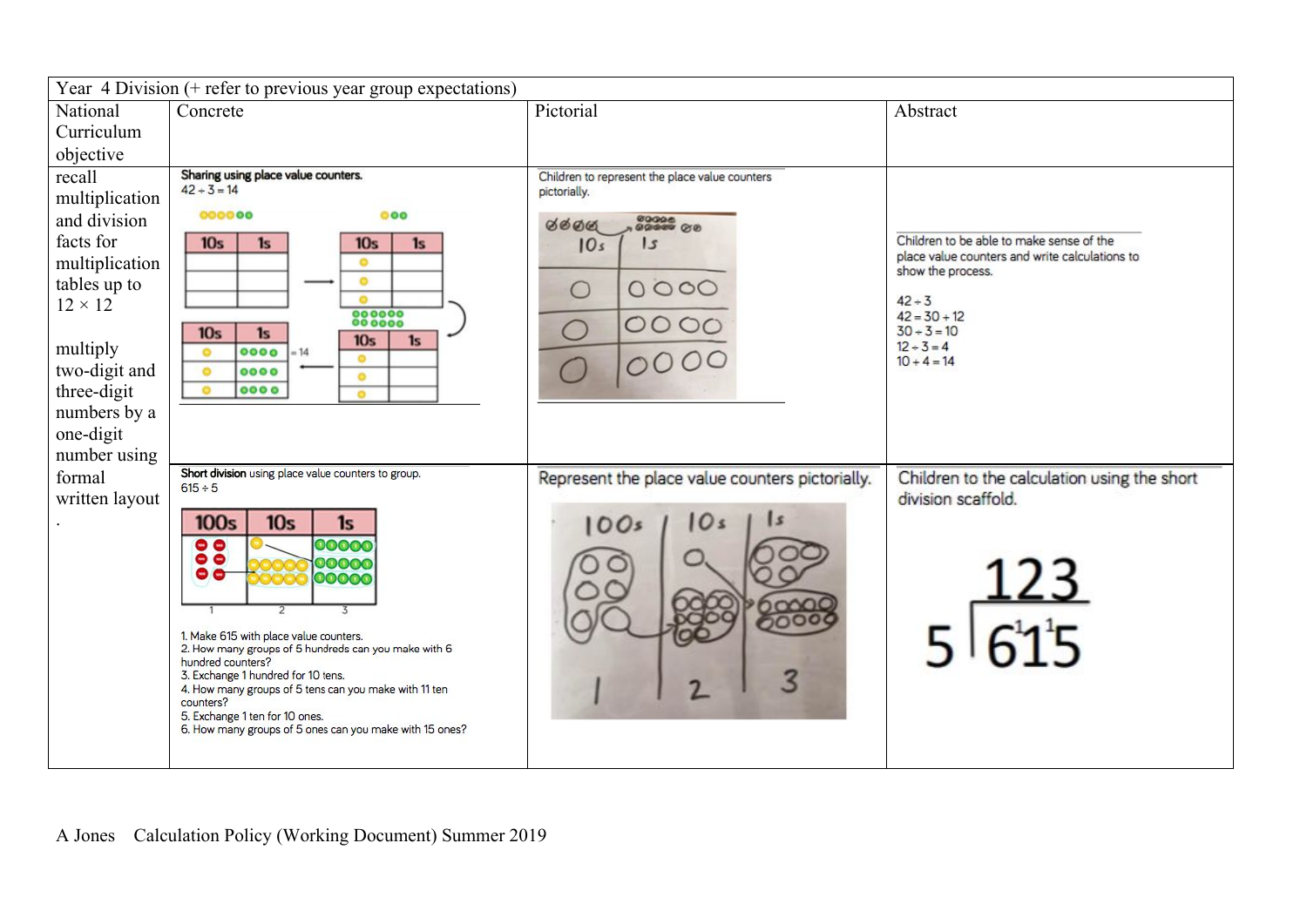| Year $\overline{4}$ Division (+ refer to previous year group expectations)                                                                                                         |                                                                                                                                                                                                                                                                                                                                                                                                                                        |                                                                                                                   |                                                                                                                                                                                                    |  |  |
|------------------------------------------------------------------------------------------------------------------------------------------------------------------------------------|----------------------------------------------------------------------------------------------------------------------------------------------------------------------------------------------------------------------------------------------------------------------------------------------------------------------------------------------------------------------------------------------------------------------------------------|-------------------------------------------------------------------------------------------------------------------|----------------------------------------------------------------------------------------------------------------------------------------------------------------------------------------------------|--|--|
| National                                                                                                                                                                           | Concrete                                                                                                                                                                                                                                                                                                                                                                                                                               | Pictorial                                                                                                         | Abstract                                                                                                                                                                                           |  |  |
| Curriculum                                                                                                                                                                         |                                                                                                                                                                                                                                                                                                                                                                                                                                        |                                                                                                                   |                                                                                                                                                                                                    |  |  |
| objective                                                                                                                                                                          |                                                                                                                                                                                                                                                                                                                                                                                                                                        |                                                                                                                   |                                                                                                                                                                                                    |  |  |
| recall<br>multiplication<br>and division<br>facts for<br>multiplication<br>tables up to<br>$12 \times 12$<br>multiply<br>two-digit and<br>three-digit<br>numbers by a<br>one-digit | Sharing using place value counters.<br>$42 + 3 = 14$<br>000000<br>000<br>10 <sub>s</sub><br>1s<br>10 <sub>s</sub><br>1s<br>۰<br>$\bullet$<br>۰<br>000000<br>10 <sub>s</sub><br>1s<br>10 <sub>s</sub><br>1s<br>0000<br>$\bullet$<br>$-14$<br>$\bullet$<br>$\bullet$<br>0000<br>$\bullet$<br>0000<br>$\circ$<br>$\bullet$                                                                                                                | Children to represent the place value counters<br>pictorially.<br>6600<br>15<br>10s<br>0000<br>$\bigcirc$<br>0000 | Children to be able to make sense of the<br>place value counters and write calculations to<br>show the process.<br>$42 + 3$<br>$42 = 30 + 12$<br>$30 + 3 = 10$<br>$12 \div 3 = 4$<br>$10 + 4 = 14$ |  |  |
| number using<br>formal<br>written layout                                                                                                                                           | Short division using place value counters to group.<br>$615 \div 5$                                                                                                                                                                                                                                                                                                                                                                    | Represent the place value counters pictorially.                                                                   | Children to the calculation using the short<br>division scaffold.                                                                                                                                  |  |  |
|                                                                                                                                                                                    | <b>100s</b><br>10 <sub>s</sub><br>1s<br>00000<br>$\bullet$<br>$\bullet$<br>00000<br>$\bullet$<br>00000<br>1. Make 615 with place value counters.<br>2. How many groups of 5 hundreds can you make with 6<br>hundred counters?<br>3. Exchange 1 hundred for 10 tens.<br>4. How many groups of 5 tens can you make with 11 ten<br>counters?<br>5. Exchange 1 ten for 10 ones.<br>6. How many groups of 5 ones can you make with 15 ones? | 10Os<br>10 s                                                                                                      |                                                                                                                                                                                                    |  |  |